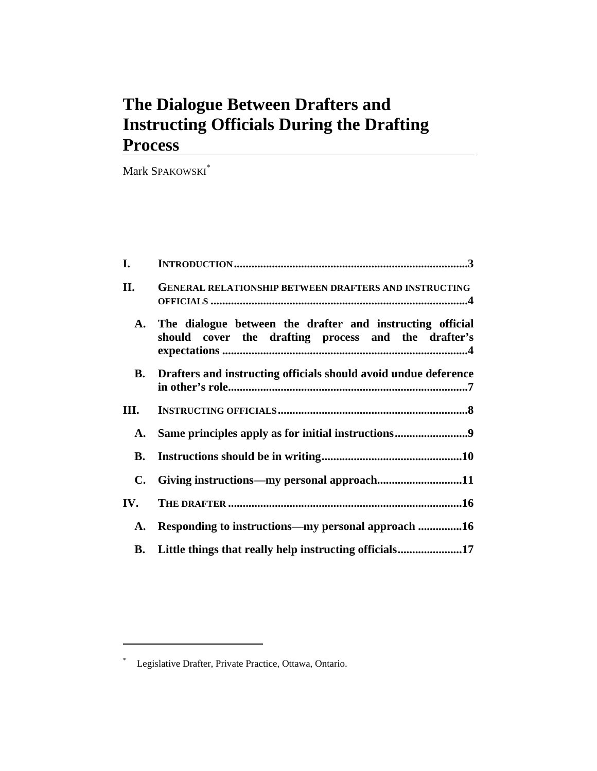# **The Dialogue Between Drafters and Instructing Officials During the Drafting Process**

Mark SPAKOWSKI\*

| I.   |                                                                                                                  |
|------|------------------------------------------------------------------------------------------------------------------|
| П.   | <b>GENERAL RELATIONSHIP BETWEEN DRAFTERS AND INSTRUCTING</b>                                                     |
| A.   | The dialogue between the drafter and instructing official<br>should cover the drafting process and the drafter's |
|      | <b>B.</b> Drafters and instructing officials should avoid undue deference                                        |
| III. |                                                                                                                  |
| A.   | Same principles apply as for initial instructions9                                                               |
| В.   |                                                                                                                  |
| C.   |                                                                                                                  |
| IV.  |                                                                                                                  |
| A.   | Responding to instructions—my personal approach 16                                                               |
|      |                                                                                                                  |

 $\overline{a}$ 

<sup>\*</sup> Legislative Drafter, Private Practice, Ottawa, Ontario.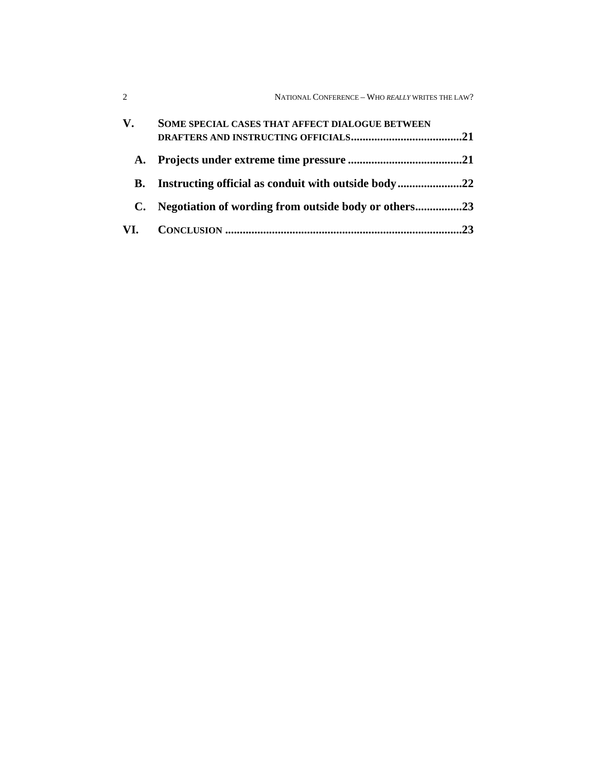| $\mathcal{D}_{\mathcal{L}}$ | NATIONAL CONFERENCE - WHO REALLY WRITES THE LAW?       |
|-----------------------------|--------------------------------------------------------|
| V.                          | SOME SPECIAL CASES THAT AFFECT DIALOGUE BETWEEN<br>.21 |
|                             |                                                        |
| В.                          |                                                        |
| C.                          | Negotiation of wording from outside body or others23   |
|                             | 23                                                     |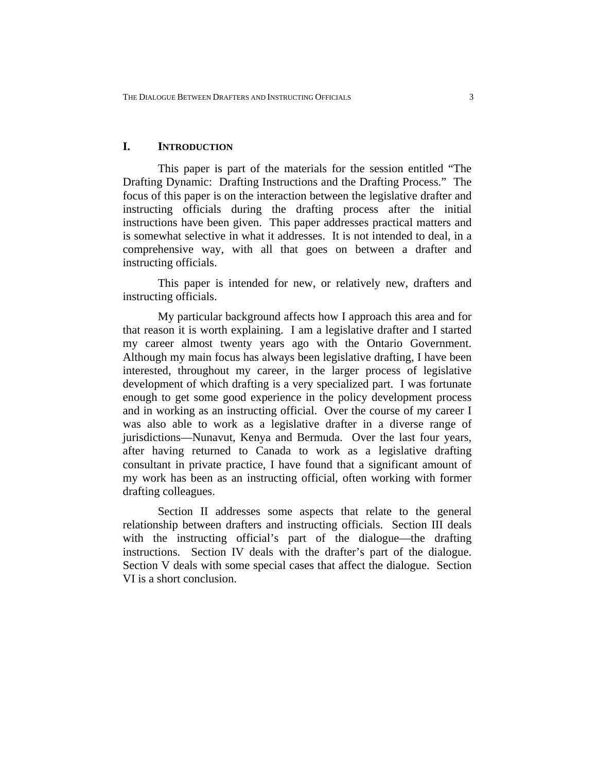# **I. INTRODUCTION**

This paper is part of the materials for the session entitled "The Drafting Dynamic: Drafting Instructions and the Drafting Process." The focus of this paper is on the interaction between the legislative drafter and instructing officials during the drafting process after the initial instructions have been given. This paper addresses practical matters and is somewhat selective in what it addresses. It is not intended to deal, in a comprehensive way, with all that goes on between a drafter and instructing officials.

This paper is intended for new, or relatively new, drafters and instructing officials.

My particular background affects how I approach this area and for that reason it is worth explaining. I am a legislative drafter and I started my career almost twenty years ago with the Ontario Government. Although my main focus has always been legislative drafting, I have been interested, throughout my career, in the larger process of legislative development of which drafting is a very specialized part. I was fortunate enough to get some good experience in the policy development process and in working as an instructing official. Over the course of my career I was also able to work as a legislative drafter in a diverse range of jurisdictions—Nunavut, Kenya and Bermuda. Over the last four years, after having returned to Canada to work as a legislative drafting consultant in private practice, I have found that a significant amount of my work has been as an instructing official, often working with former drafting colleagues.

Section II addresses some aspects that relate to the general relationship between drafters and instructing officials. Section III deals with the instructing official's part of the dialogue—the drafting instructions. Section IV deals with the drafter's part of the dialogue. Section V deals with some special cases that affect the dialogue. Section VI is a short conclusion.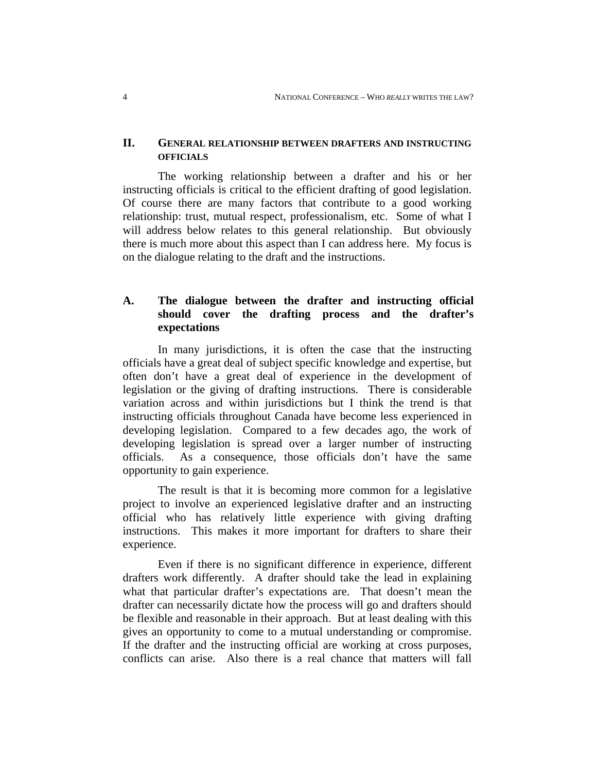## **II. GENERAL RELATIONSHIP BETWEEN DRAFTERS AND INSTRUCTING OFFICIALS**

The working relationship between a drafter and his or her instructing officials is critical to the efficient drafting of good legislation. Of course there are many factors that contribute to a good working relationship: trust, mutual respect, professionalism, etc. Some of what I will address below relates to this general relationship. But obviously there is much more about this aspect than I can address here. My focus is on the dialogue relating to the draft and the instructions.

# **A. The dialogue between the drafter and instructing official should cover the drafting process and the drafter's expectations**

In many jurisdictions, it is often the case that the instructing officials have a great deal of subject specific knowledge and expertise, but often don't have a great deal of experience in the development of legislation or the giving of drafting instructions. There is considerable variation across and within jurisdictions but I think the trend is that instructing officials throughout Canada have become less experienced in developing legislation. Compared to a few decades ago, the work of developing legislation is spread over a larger number of instructing officials. As a consequence, those officials don't have the same opportunity to gain experience.

The result is that it is becoming more common for a legislative project to involve an experienced legislative drafter and an instructing official who has relatively little experience with giving drafting instructions. This makes it more important for drafters to share their experience.

Even if there is no significant difference in experience, different drafters work differently. A drafter should take the lead in explaining what that particular drafter's expectations are. That doesn't mean the drafter can necessarily dictate how the process will go and drafters should be flexible and reasonable in their approach. But at least dealing with this gives an opportunity to come to a mutual understanding or compromise. If the drafter and the instructing official are working at cross purposes, conflicts can arise. Also there is a real chance that matters will fall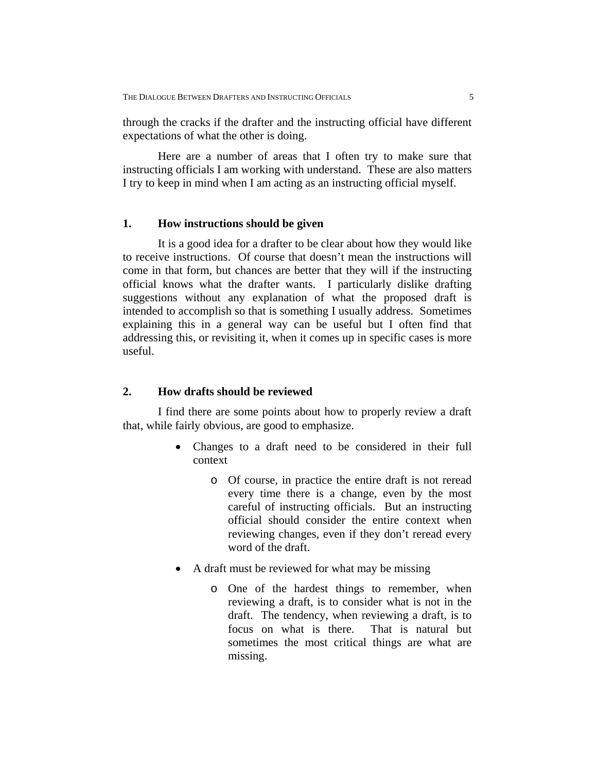through the cracks if the drafter and the instructing official have different expectations of what the other is doing.

Here are a number of areas that I often try to make sure that instructing officials I am working with understand. These are also matters I try to keep in mind when I am acting as an instructing official myself.

#### **1. How instructions should be given**

It is a good idea for a drafter to be clear about how they would like to receive instructions. Of course that doesn't mean the instructions will come in that form, but chances are better that they will if the instructing official knows what the drafter wants. I particularly dislike drafting suggestions without any explanation of what the proposed draft is intended to accomplish so that is something I usually address. Sometimes explaining this in a general way can be useful but I often find that addressing this, or revisiting it, when it comes up in specific cases is more useful.

# **2. How drafts should be reviewed**

I find there are some points about how to properly review a draft that, while fairly obvious, are good to emphasize.

- Changes to a draft need to be considered in their full context
	- o Of course, in practice the entire draft is not reread every time there is a change, even by the most careful of instructing officials. But an instructing official should consider the entire context when reviewing changes, even if they don't reread every word of the draft.
- A draft must be reviewed for what may be missing
	- o One of the hardest things to remember, when reviewing a draft, is to consider what is not in the draft. The tendency, when reviewing a draft, is to focus on what is there. That is natural but sometimes the most critical things are what are missing.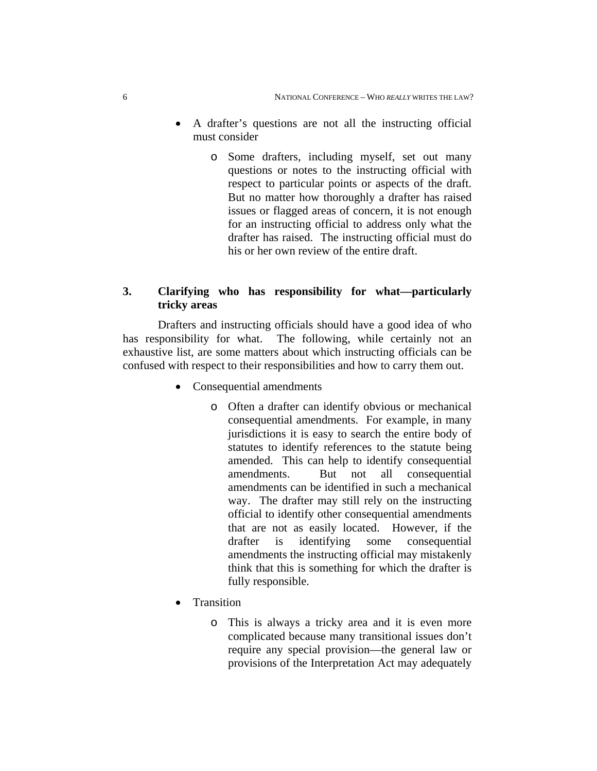- A drafter's questions are not all the instructing official must consider
	- o Some drafters, including myself, set out many questions or notes to the instructing official with respect to particular points or aspects of the draft. But no matter how thoroughly a drafter has raised issues or flagged areas of concern, it is not enough for an instructing official to address only what the drafter has raised. The instructing official must do his or her own review of the entire draft.

# **3. Clarifying who has responsibility for what—particularly tricky areas**

Drafters and instructing officials should have a good idea of who has responsibility for what. The following, while certainly not an exhaustive list, are some matters about which instructing officials can be confused with respect to their responsibilities and how to carry them out.

- Consequential amendments
	- o Often a drafter can identify obvious or mechanical consequential amendments. For example, in many jurisdictions it is easy to search the entire body of statutes to identify references to the statute being amended. This can help to identify consequential amendments. But not all consequential amendments can be identified in such a mechanical way. The drafter may still rely on the instructing official to identify other consequential amendments that are not as easily located. However, if the drafter is identifying some consequential amendments the instructing official may mistakenly think that this is something for which the drafter is fully responsible.
- Transition
	- o This is always a tricky area and it is even more complicated because many transitional issues don't require any special provision—the general law or provisions of the Interpretation Act may adequately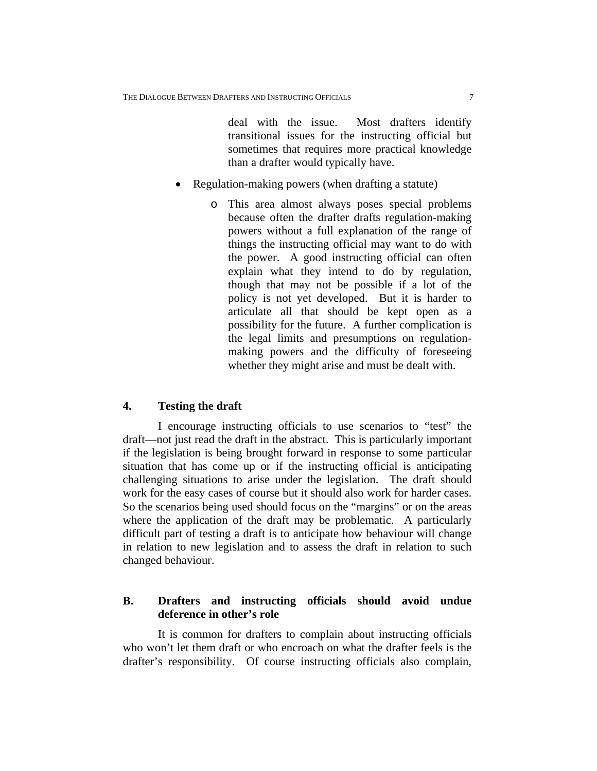deal with the issue. Most drafters identify transitional issues for the instructing official but sometimes that requires more practical knowledge than a drafter would typically have.

- Regulation-making powers (when drafting a statute)
	- o This area almost always poses special problems because often the drafter drafts regulation-making powers without a full explanation of the range of things the instructing official may want to do with the power. A good instructing official can often explain what they intend to do by regulation, though that may not be possible if a lot of the policy is not yet developed. But it is harder to articulate all that should be kept open as a possibility for the future. A further complication is the legal limits and presumptions on regulationmaking powers and the difficulty of foreseeing whether they might arise and must be dealt with.

#### **4. Testing the draft**

I encourage instructing officials to use scenarios to "test" the draft—not just read the draft in the abstract. This is particularly important if the legislation is being brought forward in response to some particular situation that has come up or if the instructing official is anticipating challenging situations to arise under the legislation. The draft should work for the easy cases of course but it should also work for harder cases. So the scenarios being used should focus on the "margins" or on the areas where the application of the draft may be problematic. A particularly difficult part of testing a draft is to anticipate how behaviour will change in relation to new legislation and to assess the draft in relation to such changed behaviour.

# **B. Drafters and instructing officials should avoid undue deference in other's role**

It is common for drafters to complain about instructing officials who won't let them draft or who encroach on what the drafter feels is the drafter's responsibility. Of course instructing officials also complain,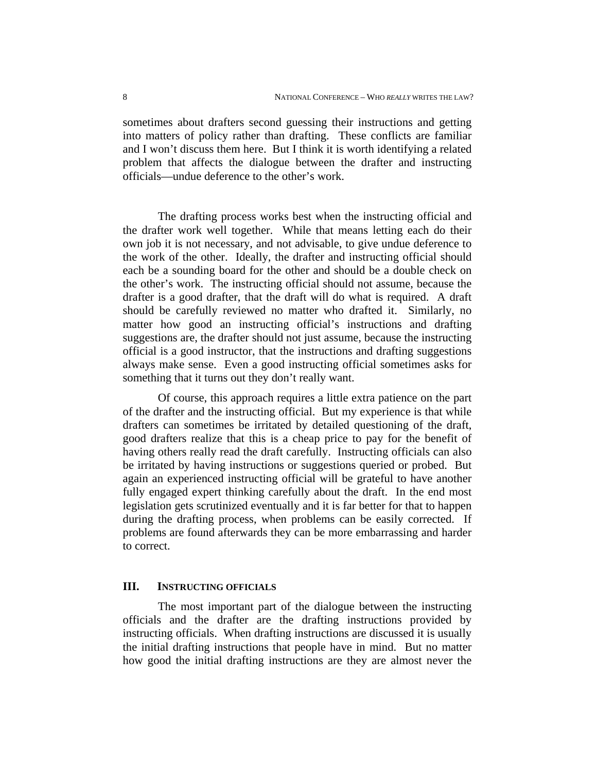sometimes about drafters second guessing their instructions and getting into matters of policy rather than drafting. These conflicts are familiar and I won't discuss them here. But I think it is worth identifying a related problem that affects the dialogue between the drafter and instructing officials—undue deference to the other's work.

The drafting process works best when the instructing official and the drafter work well together. While that means letting each do their own job it is not necessary, and not advisable, to give undue deference to the work of the other. Ideally, the drafter and instructing official should each be a sounding board for the other and should be a double check on the other's work. The instructing official should not assume, because the drafter is a good drafter, that the draft will do what is required. A draft should be carefully reviewed no matter who drafted it. Similarly, no matter how good an instructing official's instructions and drafting suggestions are, the drafter should not just assume, because the instructing official is a good instructor, that the instructions and drafting suggestions always make sense. Even a good instructing official sometimes asks for something that it turns out they don't really want.

Of course, this approach requires a little extra patience on the part of the drafter and the instructing official. But my experience is that while drafters can sometimes be irritated by detailed questioning of the draft, good drafters realize that this is a cheap price to pay for the benefit of having others really read the draft carefully. Instructing officials can also be irritated by having instructions or suggestions queried or probed. But again an experienced instructing official will be grateful to have another fully engaged expert thinking carefully about the draft. In the end most legislation gets scrutinized eventually and it is far better for that to happen during the drafting process, when problems can be easily corrected. If problems are found afterwards they can be more embarrassing and harder to correct.

### **III. INSTRUCTING OFFICIALS**

The most important part of the dialogue between the instructing officials and the drafter are the drafting instructions provided by instructing officials. When drafting instructions are discussed it is usually the initial drafting instructions that people have in mind. But no matter how good the initial drafting instructions are they are almost never the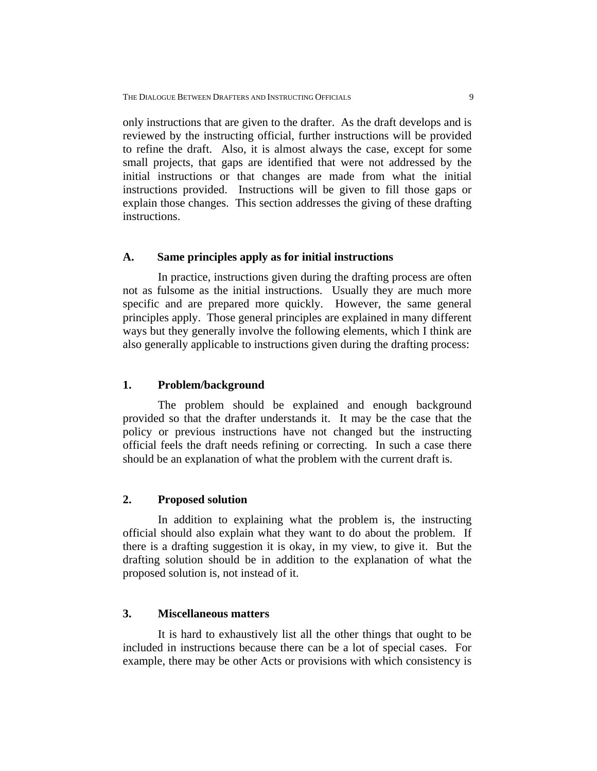only instructions that are given to the drafter. As the draft develops and is reviewed by the instructing official, further instructions will be provided to refine the draft. Also, it is almost always the case, except for some small projects, that gaps are identified that were not addressed by the initial instructions or that changes are made from what the initial instructions provided. Instructions will be given to fill those gaps or explain those changes. This section addresses the giving of these drafting instructions.

#### **A. Same principles apply as for initial instructions**

In practice, instructions given during the drafting process are often not as fulsome as the initial instructions. Usually they are much more specific and are prepared more quickly. However, the same general principles apply. Those general principles are explained in many different ways but they generally involve the following elements, which I think are also generally applicable to instructions given during the drafting process:

## **1. Problem/background**

The problem should be explained and enough background provided so that the drafter understands it. It may be the case that the policy or previous instructions have not changed but the instructing official feels the draft needs refining or correcting. In such a case there should be an explanation of what the problem with the current draft is.

#### **2. Proposed solution**

In addition to explaining what the problem is, the instructing official should also explain what they want to do about the problem. If there is a drafting suggestion it is okay, in my view, to give it. But the drafting solution should be in addition to the explanation of what the proposed solution is, not instead of it.

#### **3. Miscellaneous matters**

It is hard to exhaustively list all the other things that ought to be included in instructions because there can be a lot of special cases. For example, there may be other Acts or provisions with which consistency is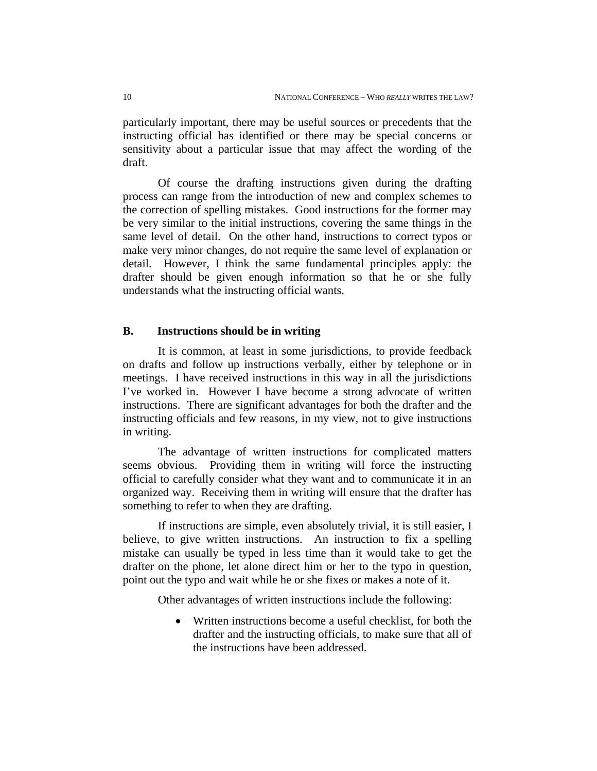particularly important, there may be useful sources or precedents that the instructing official has identified or there may be special concerns or sensitivity about a particular issue that may affect the wording of the draft.

Of course the drafting instructions given during the drafting process can range from the introduction of new and complex schemes to the correction of spelling mistakes. Good instructions for the former may be very similar to the initial instructions, covering the same things in the same level of detail. On the other hand, instructions to correct typos or make very minor changes, do not require the same level of explanation or detail. However, I think the same fundamental principles apply: the drafter should be given enough information so that he or she fully understands what the instructing official wants.

## **B. Instructions should be in writing**

It is common, at least in some jurisdictions, to provide feedback on drafts and follow up instructions verbally, either by telephone or in meetings. I have received instructions in this way in all the jurisdictions I've worked in. However I have become a strong advocate of written instructions. There are significant advantages for both the drafter and the instructing officials and few reasons, in my view, not to give instructions in writing.

The advantage of written instructions for complicated matters seems obvious. Providing them in writing will force the instructing official to carefully consider what they want and to communicate it in an organized way. Receiving them in writing will ensure that the drafter has something to refer to when they are drafting.

If instructions are simple, even absolutely trivial, it is still easier, I believe, to give written instructions. An instruction to fix a spelling mistake can usually be typed in less time than it would take to get the drafter on the phone, let alone direct him or her to the typo in question, point out the typo and wait while he or she fixes or makes a note of it.

Other advantages of written instructions include the following:

 Written instructions become a useful checklist, for both the drafter and the instructing officials, to make sure that all of the instructions have been addressed.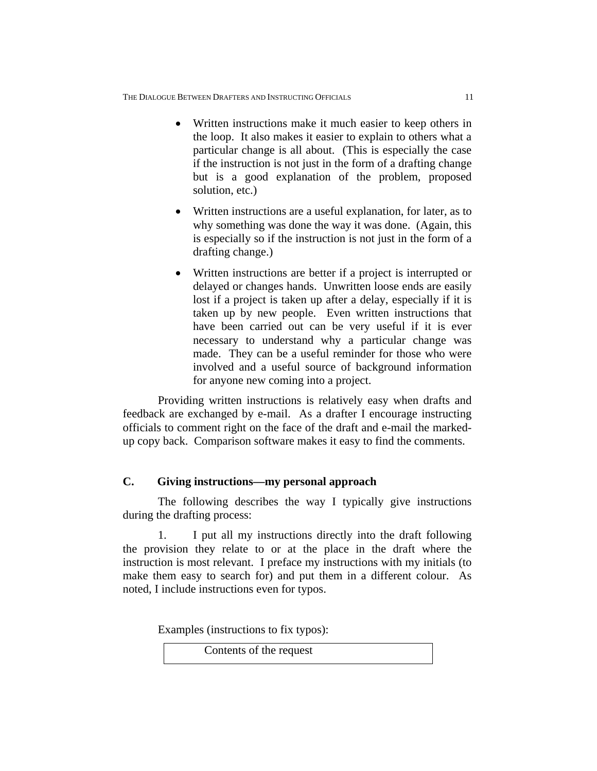- Written instructions make it much easier to keep others in the loop. It also makes it easier to explain to others what a particular change is all about. (This is especially the case if the instruction is not just in the form of a drafting change but is a good explanation of the problem, proposed solution, etc.)
- Written instructions are a useful explanation, for later, as to why something was done the way it was done. (Again, this is especially so if the instruction is not just in the form of a drafting change.)
- Written instructions are better if a project is interrupted or delayed or changes hands. Unwritten loose ends are easily lost if a project is taken up after a delay, especially if it is taken up by new people. Even written instructions that have been carried out can be very useful if it is ever necessary to understand why a particular change was made. They can be a useful reminder for those who were involved and a useful source of background information for anyone new coming into a project.

Providing written instructions is relatively easy when drafts and feedback are exchanged by e-mail. As a drafter I encourage instructing officials to comment right on the face of the draft and e-mail the markedup copy back. Comparison software makes it easy to find the comments.

# **C. Giving instructions—my personal approach**

The following describes the way I typically give instructions during the drafting process:

1. I put all my instructions directly into the draft following the provision they relate to or at the place in the draft where the instruction is most relevant. I preface my instructions with my initials (to make them easy to search for) and put them in a different colour. As noted, I include instructions even for typos.

Examples (instructions to fix typos):

Contents of the request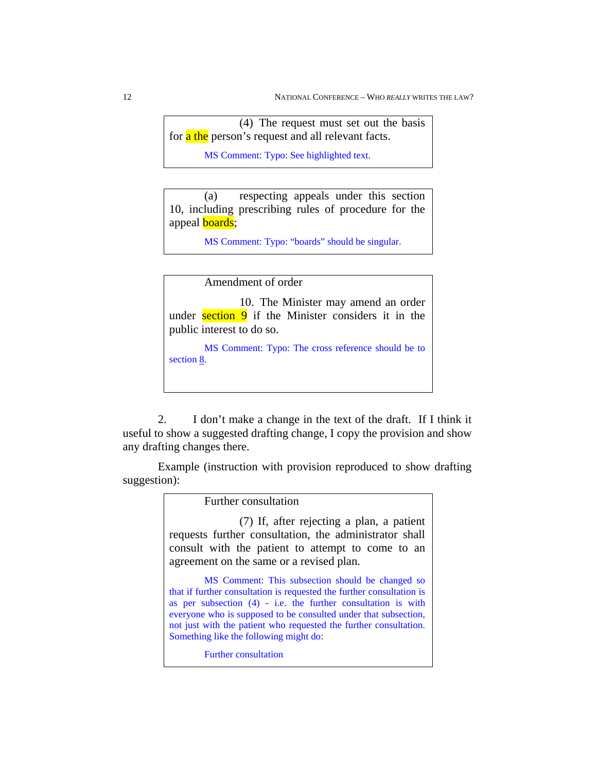(4) The request must set out the basis for a the person's request and all relevant facts.

MS Comment: Typo: See highlighted text.

(a) respecting appeals under this section 10, including prescribing rules of procedure for the appeal **boards**;

MS Comment: Typo: "boards" should be singular.

Amendment of order

 10. The Minister may amend an order under section  $9$  if the Minister considers it in the public interest to do so.

MS Comment: Typo: The cross reference should be to section 8.

2. I don't make a change in the text of the draft. If I think it useful to show a suggested drafting change, I copy the provision and show any drafting changes there.

Example (instruction with provision reproduced to show drafting suggestion):

> Further consultation (7) If, after rejecting a plan, a patient requests further consultation, the administrator shall consult with the patient to attempt to come to an agreement on the same or a revised plan. MS Comment: This subsection should be changed so that if further consultation is requested the further consultation is as per subsection (4) - i.e. the further consultation is with everyone who is supposed to be consulted under that subsection, not just with the patient who requested the further consultation. Something like the following might do: Further consultation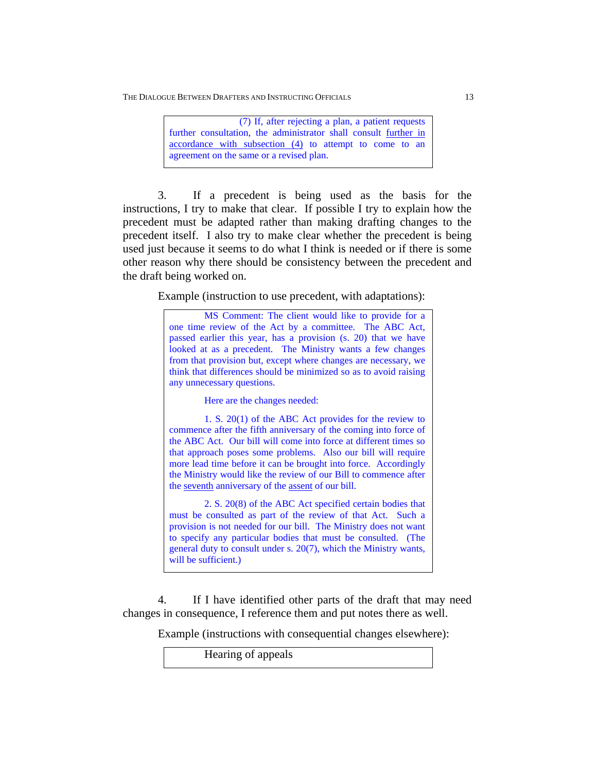THE DIALOGUE BETWEEN DRAFTERS AND INSTRUCTING OFFICIALS 13

 (7) If, after rejecting a plan, a patient requests further consultation, the administrator shall consult further in accordance with subsection (4) to attempt to come to an agreement on the same or a revised plan.

3. If a precedent is being used as the basis for the instructions, I try to make that clear. If possible I try to explain how the precedent must be adapted rather than making drafting changes to the precedent itself. I also try to make clear whether the precedent is being used just because it seems to do what I think is needed or if there is some other reason why there should be consistency between the precedent and the draft being worked on.

Example (instruction to use precedent, with adaptations):

MS Comment: The client would like to provide for a one time review of the Act by a committee. The ABC Act, passed earlier this year, has a provision (s. 20) that we have looked at as a precedent. The Ministry wants a few changes from that provision but, except where changes are necessary, we think that differences should be minimized so as to avoid raising any unnecessary questions.

Here are the changes needed:

1. S. 20(1) of the ABC Act provides for the review to commence after the fifth anniversary of the coming into force of the ABC Act. Our bill will come into force at different times so that approach poses some problems. Also our bill will require more lead time before it can be brought into force. Accordingly the Ministry would like the review of our Bill to commence after the seventh anniversary of the assent of our bill.

2. S. 20(8) of the ABC Act specified certain bodies that must be consulted as part of the review of that Act. Such a provision is not needed for our bill. The Ministry does not want to specify any particular bodies that must be consulted. (The general duty to consult under s. 20(7), which the Ministry wants, will be sufficient.)

4. If I have identified other parts of the draft that may need changes in consequence, I reference them and put notes there as well.

Example (instructions with consequential changes elsewhere):

Hearing of appeals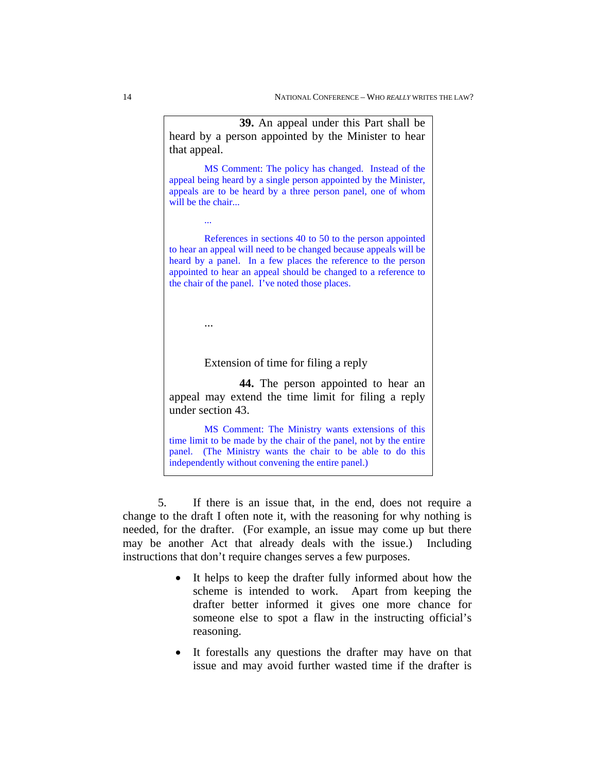**39.** An appeal under this Part shall be heard by a person appointed by the Minister to hear that appeal. MS Comment: The policy has changed. Instead of the appeal being heard by a single person appointed by the Minister, appeals are to be heard by a three person panel, one of whom will be the chair... ... References in sections 40 to 50 to the person appointed to hear an appeal will need to be changed because appeals will be heard by a panel. In a few places the reference to the person appointed to hear an appeal should be changed to a reference to the chair of the panel. I've noted those places. ... Extension of time for filing a reply **44.** The person appointed to hear an appeal may extend the time limit for filing a reply under section 43. MS Comment: The Ministry wants extensions of this

time limit to be made by the chair of the panel, not by the entire panel. (The Ministry wants the chair to be able to do this independently without convening the entire panel.)

5. If there is an issue that, in the end, does not require a change to the draft I often note it, with the reasoning for why nothing is needed, for the drafter. (For example, an issue may come up but there may be another Act that already deals with the issue.) Including instructions that don't require changes serves a few purposes.

- It helps to keep the drafter fully informed about how the scheme is intended to work. Apart from keeping the drafter better informed it gives one more chance for someone else to spot a flaw in the instructing official's reasoning.
- It forestalls any questions the drafter may have on that issue and may avoid further wasted time if the drafter is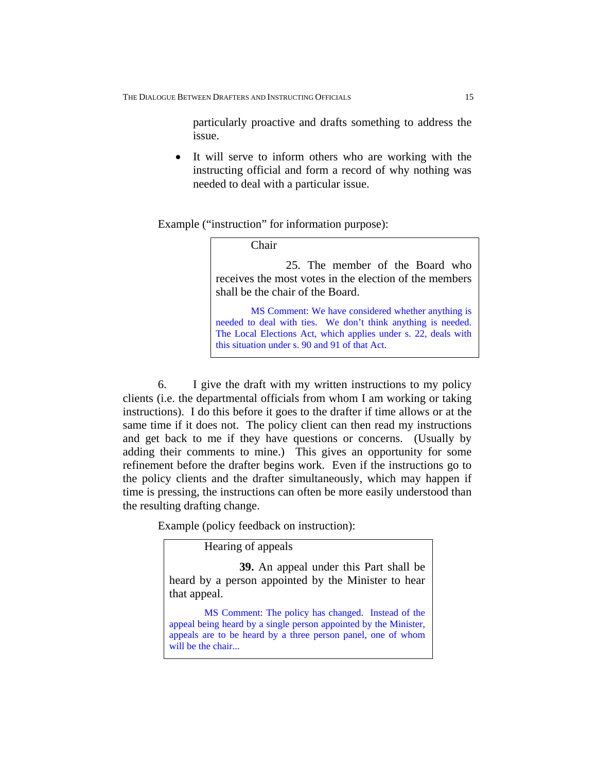particularly proactive and drafts something to address the issue.

 It will serve to inform others who are working with the instructing official and form a record of why nothing was needed to deal with a particular issue.

Example ("instruction" for information purpose):

Chair

 25. The member of the Board who receives the most votes in the election of the members shall be the chair of the Board.

MS Comment: We have considered whether anything is needed to deal with ties. We don't think anything is needed. The Local Elections Act, which applies under s. 22, deals with this situation under s. 90 and 91 of that Act.

6. I give the draft with my written instructions to my policy clients (i.e. the departmental officials from whom I am working or taking instructions). I do this before it goes to the drafter if time allows or at the same time if it does not. The policy client can then read my instructions and get back to me if they have questions or concerns. (Usually by adding their comments to mine.) This gives an opportunity for some refinement before the drafter begins work. Even if the instructions go to the policy clients and the drafter simultaneously, which may happen if time is pressing, the instructions can often be more easily understood than the resulting drafting change.

Example (policy feedback on instruction):

Hearing of appeals

**39.** An appeal under this Part shall be heard by a person appointed by the Minister to hear that appeal.

MS Comment: The policy has changed. Instead of the appeal being heard by a single person appointed by the Minister, appeals are to be heard by a three person panel, one of whom will be the chair...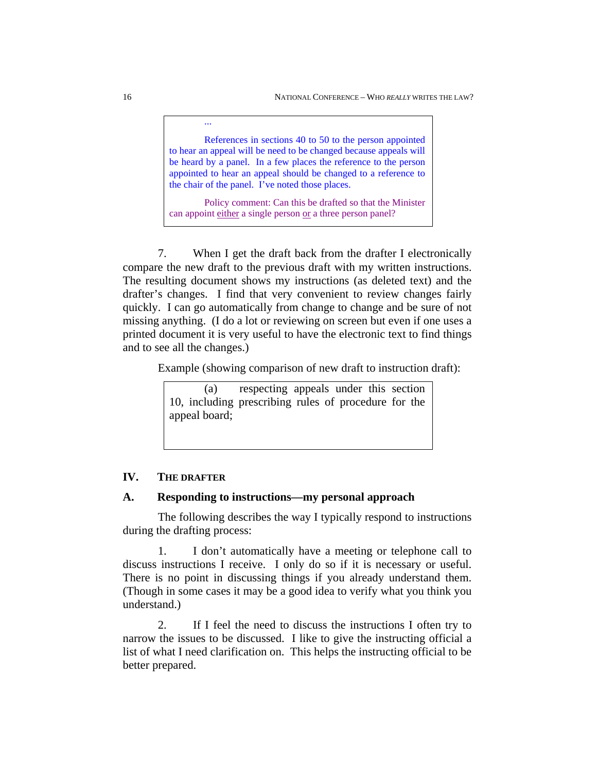References in sections 40 to 50 to the person appointed to hear an appeal will be need to be changed because appeals will be heard by a panel. In a few places the reference to the person appointed to hear an appeal should be changed to a reference to the chair of the panel. I've noted those places.

Policy comment: Can this be drafted so that the Minister can appoint either a single person or a three person panel?

7. When I get the draft back from the drafter I electronically compare the new draft to the previous draft with my written instructions. The resulting document shows my instructions (as deleted text) and the drafter's changes. I find that very convenient to review changes fairly quickly. I can go automatically from change to change and be sure of not missing anything. (I do a lot or reviewing on screen but even if one uses a printed document it is very useful to have the electronic text to find things and to see all the changes.)

Example (showing comparison of new draft to instruction draft):

(a) respecting appeals under this section 10, including prescribing rules of procedure for the appeal board;

# **IV. THE DRAFTER**

#### **A. Responding to instructions—my personal approach**

The following describes the way I typically respond to instructions during the drafting process:

1. I don't automatically have a meeting or telephone call to discuss instructions I receive. I only do so if it is necessary or useful. There is no point in discussing things if you already understand them. (Though in some cases it may be a good idea to verify what you think you understand.)

2. If I feel the need to discuss the instructions I often try to narrow the issues to be discussed. I like to give the instructing official a list of what I need clarification on. This helps the instructing official to be better prepared.

...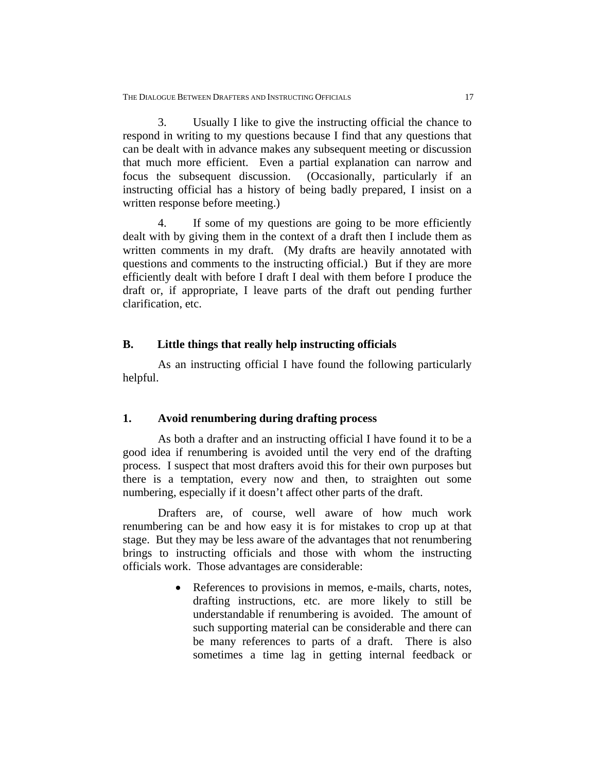3. Usually I like to give the instructing official the chance to respond in writing to my questions because I find that any questions that can be dealt with in advance makes any subsequent meeting or discussion that much more efficient. Even a partial explanation can narrow and focus the subsequent discussion. (Occasionally, particularly if an instructing official has a history of being badly prepared, I insist on a written response before meeting.)

4. If some of my questions are going to be more efficiently dealt with by giving them in the context of a draft then I include them as written comments in my draft. (My drafts are heavily annotated with questions and comments to the instructing official.) But if they are more efficiently dealt with before I draft I deal with them before I produce the draft or, if appropriate, I leave parts of the draft out pending further clarification, etc.

## **B. Little things that really help instructing officials**

As an instructing official I have found the following particularly helpful.

#### **1. Avoid renumbering during drafting process**

As both a drafter and an instructing official I have found it to be a good idea if renumbering is avoided until the very end of the drafting process. I suspect that most drafters avoid this for their own purposes but there is a temptation, every now and then, to straighten out some numbering, especially if it doesn't affect other parts of the draft.

Drafters are, of course, well aware of how much work renumbering can be and how easy it is for mistakes to crop up at that stage. But they may be less aware of the advantages that not renumbering brings to instructing officials and those with whom the instructing officials work. Those advantages are considerable:

> • References to provisions in memos, e-mails, charts, notes, drafting instructions, etc. are more likely to still be understandable if renumbering is avoided. The amount of such supporting material can be considerable and there can be many references to parts of a draft. There is also sometimes a time lag in getting internal feedback or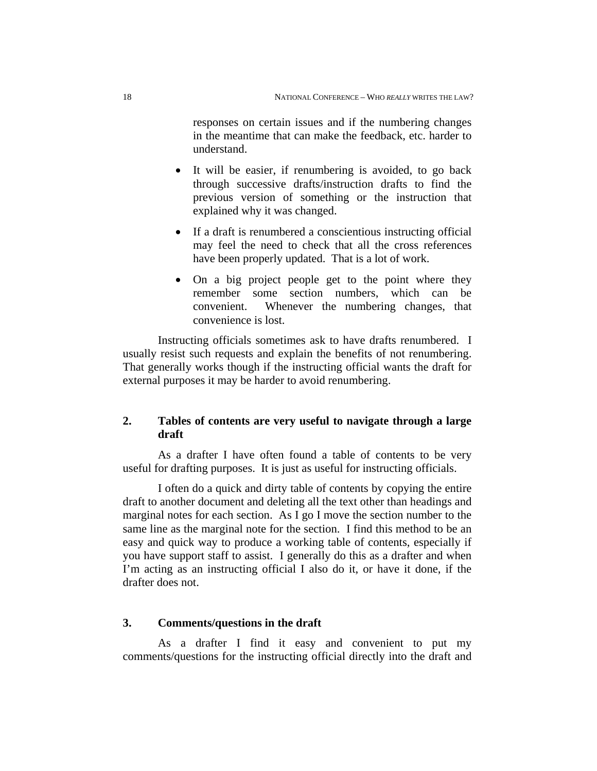responses on certain issues and if the numbering changes in the meantime that can make the feedback, etc. harder to understand.

- It will be easier, if renumbering is avoided, to go back through successive drafts/instruction drafts to find the previous version of something or the instruction that explained why it was changed.
- If a draft is renumbered a conscientious instructing official may feel the need to check that all the cross references have been properly updated. That is a lot of work.
- On a big project people get to the point where they remember some section numbers, which can be convenient. Whenever the numbering changes, that convenience is lost.

Instructing officials sometimes ask to have drafts renumbered. I usually resist such requests and explain the benefits of not renumbering. That generally works though if the instructing official wants the draft for external purposes it may be harder to avoid renumbering.

# **2. Tables of contents are very useful to navigate through a large draft**

As a drafter I have often found a table of contents to be very useful for drafting purposes. It is just as useful for instructing officials.

I often do a quick and dirty table of contents by copying the entire draft to another document and deleting all the text other than headings and marginal notes for each section. As I go I move the section number to the same line as the marginal note for the section. I find this method to be an easy and quick way to produce a working table of contents, especially if you have support staff to assist. I generally do this as a drafter and when I'm acting as an instructing official I also do it, or have it done, if the drafter does not.

## **3. Comments/questions in the draft**

As a drafter I find it easy and convenient to put my comments/questions for the instructing official directly into the draft and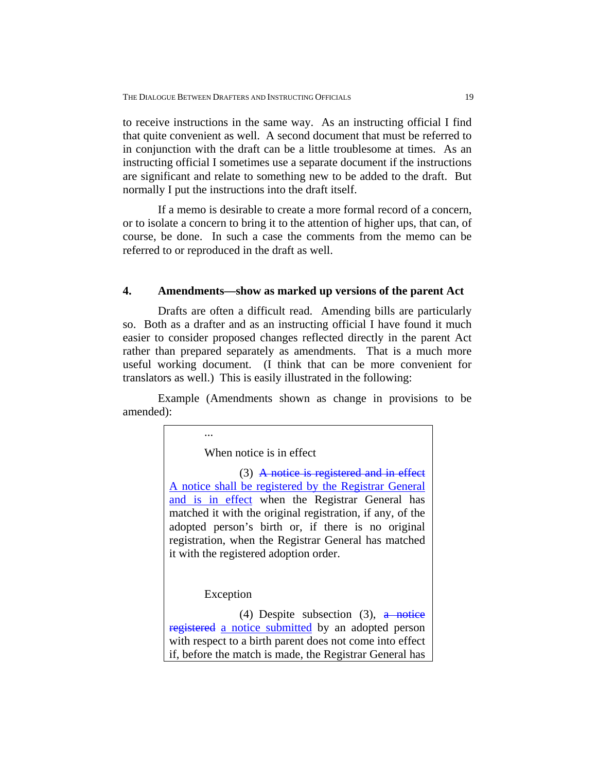to receive instructions in the same way. As an instructing official I find that quite convenient as well. A second document that must be referred to in conjunction with the draft can be a little troublesome at times. As an instructing official I sometimes use a separate document if the instructions are significant and relate to something new to be added to the draft. But normally I put the instructions into the draft itself.

If a memo is desirable to create a more formal record of a concern, or to isolate a concern to bring it to the attention of higher ups, that can, of course, be done. In such a case the comments from the memo can be referred to or reproduced in the draft as well.

#### **4. Amendments—show as marked up versions of the parent Act**

Drafts are often a difficult read. Amending bills are particularly so. Both as a drafter and as an instructing official I have found it much easier to consider proposed changes reflected directly in the parent Act rather than prepared separately as amendments. That is a much more useful working document. (I think that can be more convenient for translators as well.) This is easily illustrated in the following:

Example (Amendments shown as change in provisions to be amended):

When notice is in effect

 (3) A notice is registered and in effect A notice shall be registered by the Registrar General and is in effect when the Registrar General has matched it with the original registration, if any, of the adopted person's birth or, if there is no original registration, when the Registrar General has matched it with the registered adoption order.

Exception

...

(4) Despite subsection (3),  $\frac{a \text{ notice}}{b}$ registered a notice submitted by an adopted person with respect to a birth parent does not come into effect if, before the match is made, the Registrar General has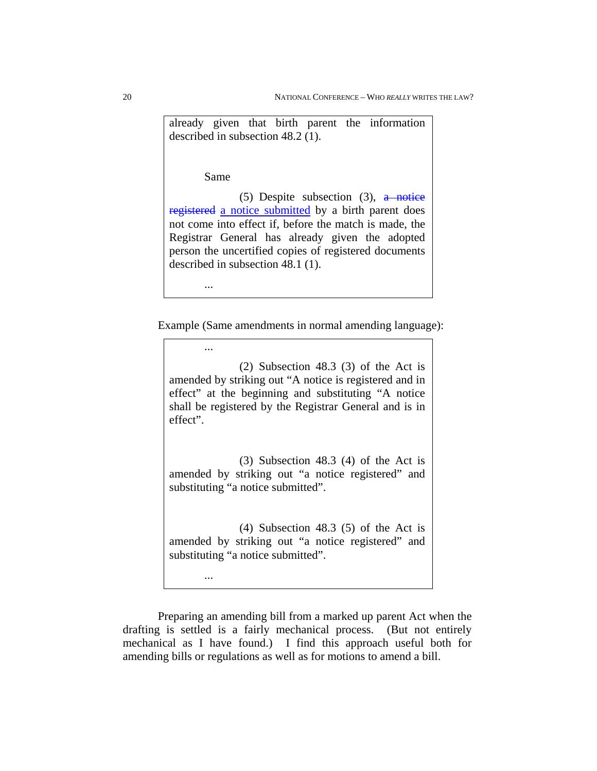already given that birth parent the information described in subsection 48.2 (1).

Same

(5) Despite subsection (3),  $\frac{a \text{ notice}}{b}$ registered a notice submitted by a birth parent does not come into effect if, before the match is made, the Registrar General has already given the adopted person the uncertified copies of registered documents described in subsection 48.1 (1).

...

...

...

Example (Same amendments in normal amending language):

 (2) Subsection 48.3 (3) of the Act is amended by striking out "A notice is registered and in effect" at the beginning and substituting "A notice shall be registered by the Registrar General and is in effect".

 (3) Subsection 48.3 (4) of the Act is amended by striking out "a notice registered" and substituting "a notice submitted".

 (4) Subsection 48.3 (5) of the Act is amended by striking out "a notice registered" and substituting "a notice submitted".

Preparing an amending bill from a marked up parent Act when the drafting is settled is a fairly mechanical process. (But not entirely mechanical as I have found.) I find this approach useful both for amending bills or regulations as well as for motions to amend a bill.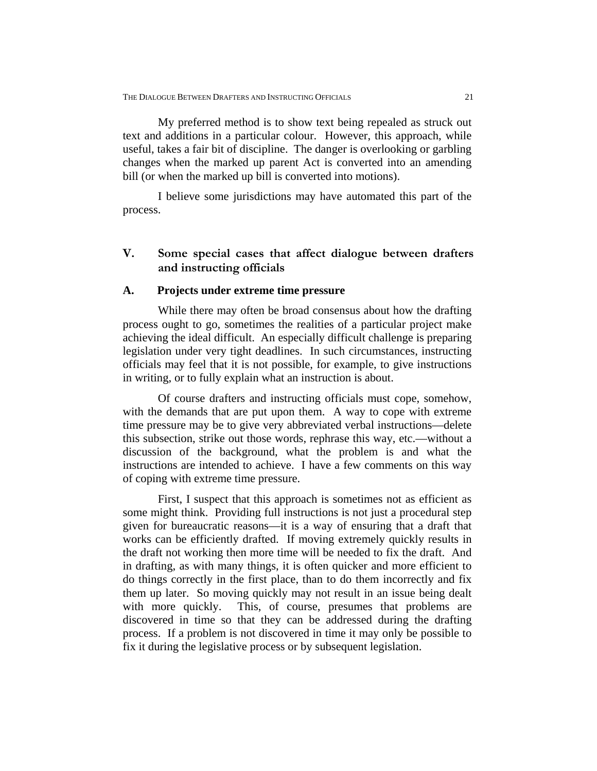My preferred method is to show text being repealed as struck out text and additions in a particular colour. However, this approach, while useful, takes a fair bit of discipline. The danger is overlooking or garbling changes when the marked up parent Act is converted into an amending bill (or when the marked up bill is converted into motions).

I believe some jurisdictions may have automated this part of the process.

# **V. Some special cases that affect dialogue between drafters and instructing officials**

#### **A. Projects under extreme time pressure**

While there may often be broad consensus about how the drafting process ought to go, sometimes the realities of a particular project make achieving the ideal difficult. An especially difficult challenge is preparing legislation under very tight deadlines. In such circumstances, instructing officials may feel that it is not possible, for example, to give instructions in writing, or to fully explain what an instruction is about.

Of course drafters and instructing officials must cope, somehow, with the demands that are put upon them. A way to cope with extreme time pressure may be to give very abbreviated verbal instructions—delete this subsection, strike out those words, rephrase this way, etc.—without a discussion of the background, what the problem is and what the instructions are intended to achieve. I have a few comments on this way of coping with extreme time pressure.

First, I suspect that this approach is sometimes not as efficient as some might think. Providing full instructions is not just a procedural step given for bureaucratic reasons—it is a way of ensuring that a draft that works can be efficiently drafted. If moving extremely quickly results in the draft not working then more time will be needed to fix the draft. And in drafting, as with many things, it is often quicker and more efficient to do things correctly in the first place, than to do them incorrectly and fix them up later. So moving quickly may not result in an issue being dealt with more quickly. This, of course, presumes that problems are discovered in time so that they can be addressed during the drafting process. If a problem is not discovered in time it may only be possible to fix it during the legislative process or by subsequent legislation.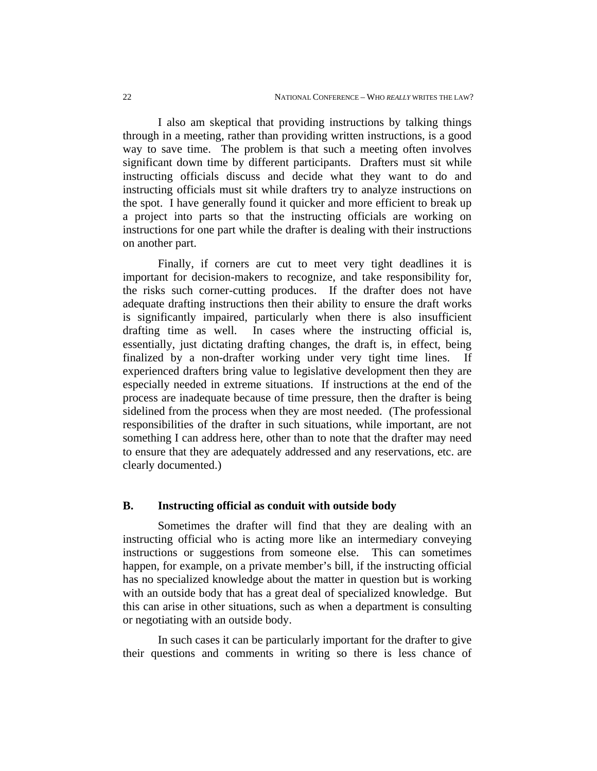I also am skeptical that providing instructions by talking things through in a meeting, rather than providing written instructions, is a good way to save time. The problem is that such a meeting often involves significant down time by different participants. Drafters must sit while instructing officials discuss and decide what they want to do and instructing officials must sit while drafters try to analyze instructions on the spot. I have generally found it quicker and more efficient to break up a project into parts so that the instructing officials are working on instructions for one part while the drafter is dealing with their instructions on another part.

Finally, if corners are cut to meet very tight deadlines it is important for decision-makers to recognize, and take responsibility for, the risks such corner-cutting produces. If the drafter does not have adequate drafting instructions then their ability to ensure the draft works is significantly impaired, particularly when there is also insufficient drafting time as well. In cases where the instructing official is, essentially, just dictating drafting changes, the draft is, in effect, being finalized by a non-drafter working under very tight time lines. If experienced drafters bring value to legislative development then they are especially needed in extreme situations. If instructions at the end of the process are inadequate because of time pressure, then the drafter is being sidelined from the process when they are most needed. (The professional responsibilities of the drafter in such situations, while important, are not something I can address here, other than to note that the drafter may need to ensure that they are adequately addressed and any reservations, etc. are clearly documented.)

## **B. Instructing official as conduit with outside body**

Sometimes the drafter will find that they are dealing with an instructing official who is acting more like an intermediary conveying instructions or suggestions from someone else. This can sometimes happen, for example, on a private member's bill, if the instructing official has no specialized knowledge about the matter in question but is working with an outside body that has a great deal of specialized knowledge. But this can arise in other situations, such as when a department is consulting or negotiating with an outside body.

In such cases it can be particularly important for the drafter to give their questions and comments in writing so there is less chance of